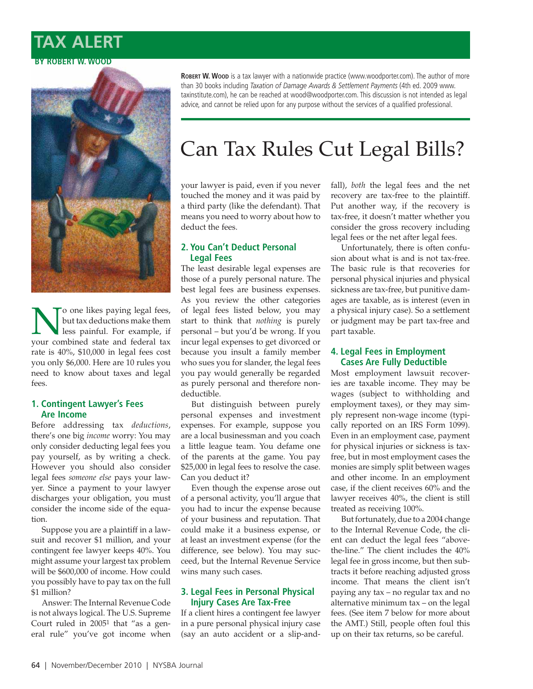# **TAX ALERT BY ROBERT W. WOOD**



No one likes paying legal fees,<br>but tax deductions make them<br>less painful. For example, if<br>your combined state and federal tax but tax deductions make them less painful. For example, if your combined state and federal tax rate is 40%, \$10,000 in legal fees cost you only \$6,000. Here are 10 rules you need to know about taxes and legal fees.

#### **1. Contingent Lawyer's Fees Are Income**

Before addressing tax *deductions*, there's one big *income* worry: You may only consider deducting legal fees you pay yourself, as by writing a check. However you should also consider legal fees *someone else* pays your lawyer. Since a payment to your lawyer discharges your obligation, you must consider the income side of the equation.

Suppose you are a plaintiff in a lawsuit and recover \$1 million, and your contingent fee lawyer keeps 40%. You might assume your largest tax problem will be \$600,000 of income. How could you possibly have to pay tax on the full \$1 million?

Answer: The Internal Revenue Code is not always logical. The U.S. Supreme Court ruled in 20051 that "as a general rule" you've got income when

ROBERT W. WOOD is a tax lawyer with a nationwide practice (www.woodporter.com). The author of more than 30 books including *Taxation of Damage Awards & Settlement Payments* (4th ed. 2009 www. taxinstitute.com), he can be reached at wood@woodporter.com. This discussion is not intended as legal advice, and cannot be relied upon for any purpose without the services of a qualified professional.

# Can Tax Rules Cut Legal Bills?

your lawyer is paid, even if you never touched the money and it was paid by a third party (like the defendant). That means you need to worry about how to deduct the fees.

#### **2. You Can't Deduct Personal Legal Fees**

The least desirable legal expenses are those of a purely personal nature. The best legal fees are business expenses. As you review the other categories of legal fees listed below, you may start to think that *nothing* is purely personal – but you'd be wrong. If you incur legal expenses to get divorced or because you insult a family member who sues you for slander, the legal fees you pay would generally be regarded as purely personal and therefore nondeductible.

But distinguish between purely personal expenses and investment expenses. For example, suppose you are a local businessman and you coach a little league team. You defame one of the parents at the game. You pay \$25,000 in legal fees to resolve the case. Can you deduct it?

Even though the expense arose out of a personal activity, you'll argue that you had to incur the expense because of your business and reputation. That could make it a business expense, or at least an investment expense (for the difference, see below). You may succeed, but the Internal Revenue Service wins many such cases.

## **3. Legal Fees in Personal Physical Injury Cases Are Tax-Free**

If a client hires a contingent fee lawyer in a pure personal physical injury case (say an auto accident or a slip-andfall), *both* the legal fees and the net recovery are tax-free to the plaintiff. Put another way, if the recovery is tax-free, it doesn't matter whether you consider the gross recovery including legal fees or the net after legal fees.

Unfortunately, there is often confusion about what is and is not tax-free. The basic rule is that recoveries for personal physical injuries and physical sickness are tax-free, but punitive damages are taxable, as is interest (even in a physical injury case). So a settlement or judgment may be part tax-free and part taxable.

#### **4. Legal Fees in Employment Cases Are Fully Deductible**

Most employment lawsuit recoveries are taxable income. They may be wages (subject to withholding and employment taxes), or they may simply represent non-wage income (typically reported on an IRS Form 1099). Even in an employment case, payment for physical injuries or sickness is taxfree, but in most employment cases the monies are simply split between wages and other income. In an employment case, if the client receives 60% and the lawyer receives 40%, the client is still treated as receiving 100%.

But fortunately, due to a 2004 change to the Internal Revenue Code, the client can deduct the legal fees "abovethe-line." The client includes the 40% legal fee in gross income, but then subtracts it before reaching adjusted gross income. That means the client isn't paying any tax – no regular tax and no alternative minimum tax – on the legal fees. (See item 7 below for more about the AMT.) Still, people often foul this up on their tax returns, so be careful.